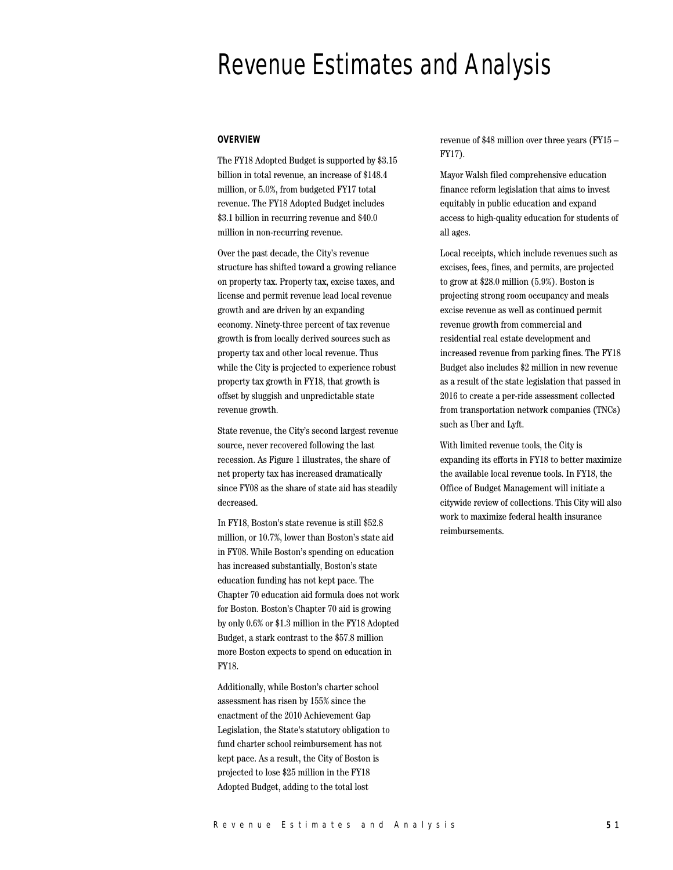# Revenue Estimates and Analysis

#### **OVERVIEW**

The FY18 Adopted Budget is supported by \$3.15 billion in total revenue, an increase of \$148.4 million, or 5.0%, from budgeted FY17 total revenue. The FY18 Adopted Budget includes \$3.1 billion in recurring revenue and \$40.0 million in non-recurring revenue.

Over the past decade, the City's revenue structure has shifted toward a growing reliance on property tax. Property tax, excise taxes, and license and permit revenue lead local revenue growth and are driven by an expanding economy. Ninety-three percent of tax revenue growth is from locally derived sources such as property tax and other local revenue. Thus while the City is projected to experience robust property tax growth in FY18, that growth is offset by sluggish and unpredictable state revenue growth.

State revenue, the City's second largest revenue source, never recovered following the last recession. As Figure 1 illustrates, the share of net property tax has increased dramatically since FY08 as the share of state aid has steadily decreased.

In FY18, Boston's state revenue is still \$52.8 million, or 10.7%, lower than Boston's state aid in FY08. While Boston's spending on education has increased substantially, Boston's state education funding has not kept pace. The Chapter 70 education aid formula does not work for Boston. Boston's Chapter 70 aid is growing by only 0.6% or \$1.3 million in the FY18 Adopted Budget, a stark contrast to the \$57.8 million more Boston expects to spend on education in FY18.

Additionally, while Boston's charter school assessment has risen by 155% since the enactment of the 2010 Achievement Gap Legislation, the State's statutory obligation to fund charter school reimbursement has not kept pace. As a result, the City of Boston is projected to lose \$25 million in the FY18 Adopted Budget, adding to the total lost

revenue of \$48 million over three years (FY15 – FY17).

Mayor Walsh filed comprehensive education finance reform legislation that aims to invest equitably in public education and expand access to high-quality education for students of all ages.

Local receipts, which include revenues such as excises, fees, fines, and permits, are projected to grow at \$28.0 million (5.9%). Boston is projecting strong room occupancy and meals excise revenue as well as continued permit revenue growth from commercial and residential real estate development and increased revenue from parking fines. The FY18 Budget also includes \$2 million in new revenue as a result of the state legislation that passed in 2016 to create a per-ride assessment collected from transportation network companies (TNCs) such as Uber and Lyft.

With limited revenue tools, the City is expanding its efforts in FY18 to better maximize the available local revenue tools. In FY18, the Office of Budget Management will initiate a citywide review of collections. This City will also work to maximize federal health insurance reimbursements.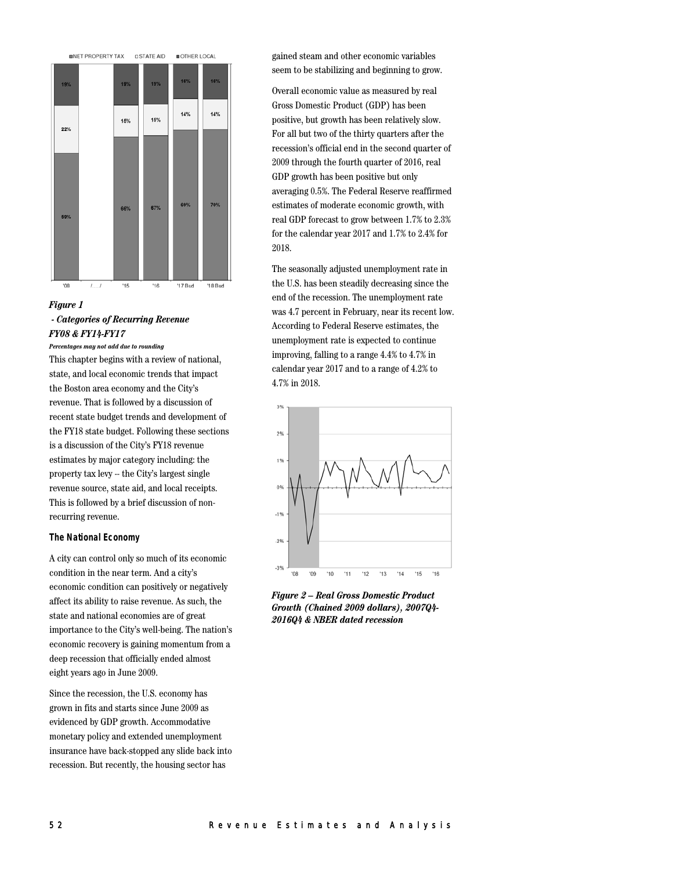

 $00'$ '15  $16'$ '17 Bud '18 Bud  $l, \ldots, l$ 

# *Figure 1 - Categories of Recurring Revenue FY08 & FY14-FY17*

#### *Percentages may not add due to rounding*

This chapter begins with a review of national, state, and local economic trends that impact the Boston area economy and the City's revenue. That is followed by a discussion of recent state budget trends and development of the FY18 state budget. Following these sections is a discussion of the City's FY18 revenue estimates by major category including: the property tax levy -- the City's largest single revenue source, state aid, and local receipts. This is followed by a brief discussion of nonrecurring revenue.

#### **The National Economy**

A city can control only so much of its economic condition in the near term. And a city's economic condition can positively or negatively affect its ability to raise revenue. As such, the state and national economies are of great importance to the City's well-being. The nation's economic recovery is gaining momentum from a deep recession that officially ended almost eight years ago in June 2009.

Since the recession, the U.S. economy has grown in fits and starts since June 2009 as evidenced by GDP growth. Accommodative monetary policy and extended unemployment insurance have back-stopped any slide back into recession. But recently, the housing sector has

gained steam and other economic variables seem to be stabilizing and beginning to grow.

Overall economic value as measured by real Gross Domestic Product (GDP) has been positive, but growth has been relatively slow. For all but two of the thirty quarters after the recession's official end in the second quarter of 2009 through the fourth quarter of 2016, real GDP growth has been positive but only averaging 0.5%. The Federal Reserve reaffirmed estimates of moderate economic growth, with real GDP forecast to grow between 1.7% to 2.3% for the calendar year 2017 and 1.7% to 2.4% for 2018.

The seasonally adjusted unemployment rate in the U.S. has been steadily decreasing since the end of the recession. The unemployment rate was 4.7 percent in February, near its recent low. According to Federal Reserve estimates, the unemployment rate is expected to continue improving, falling to a range 4.4% to 4.7% in calendar year 2017 and to a range of 4.2% to 4.7% in 2018.



*Figure 2 – Real Gross Domestic Product Growth (Chained 2009 dollars), 2007Q4- 2016Q4 & NBER dated recession*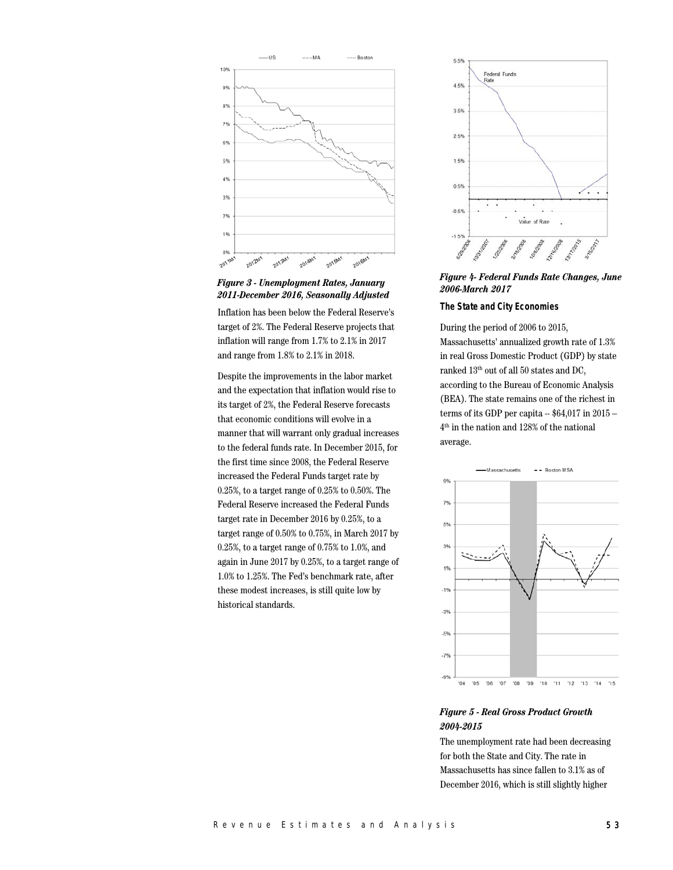

*Figure 3 - Unemployment Rates, January 2011-December 2016, Seasonally Adjusted*

Inflation has been below the Federal Reserve's target of 2%. The Federal Reserve projects that inflation will range from 1.7% to 2.1% in 2017 and range from 1.8% to 2.1% in 2018.

Despite the improvements in the labor market and the expectation that inflation would rise to its target of 2%, the Federal Reserve forecasts that economic conditions will evolve in a manner that will warrant only gradual increases to the federal funds rate. In December 2015, for the first time since 2008, the Federal Reserve increased the Federal Funds target rate by 0.25%, to a target range of 0.25% to 0.50%. The Federal Reserve increased the Federal Funds target rate in December 2016 by 0.25%, to a target range of 0.50% to 0.75%, in March 2017 by 0.25%, to a target range of 0.75% to 1.0%, and again in June 2017 by 0.25%, to a target range of 1.0% to 1.25%. The Fed's benchmark rate, after these modest increases, is still quite low by historical standards.



*Figure 4- Federal Funds Rate Changes, June 2006-March 2017*

#### **The State and City Economies**

During the period of 2006 to 2015, Massachusetts' annualized growth rate of 1.3% in real Gross Domestic Product (GDP) by state ranked 13th out of all 50 states and DC, according to the Bureau of Economic Analysis (BEA). The state remains one of the richest in terms of its GDP per capita  $-$  \$64,017 in 2015  $-$ 4th in the nation and 128% of the national average.



# *Figure 5 - Real Gross Product Growth 2004-2015*

The unemployment rate had been decreasing for both the State and City. The rate in Massachusetts has since fallen to 3.1% as of December 2016, which is still slightly higher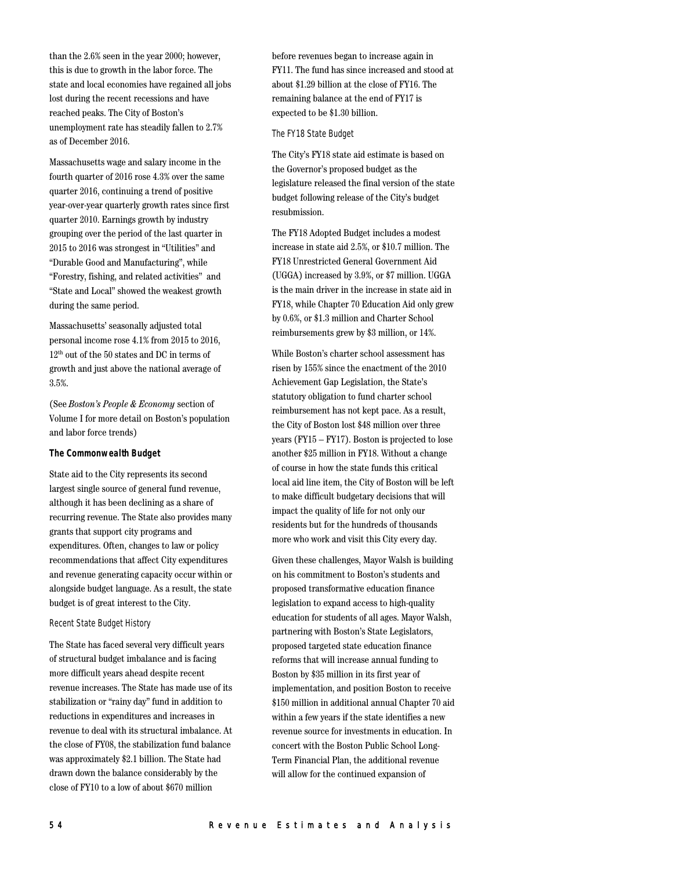than the 2.6% seen in the year 2000; however, this is due to growth in the labor force. The state and local economies have regained all jobs lost during the recent recessions and have reached peaks. The City of Boston's unemployment rate has steadily fallen to 2.7% as of December 2016.

Massachusetts wage and salary income in the fourth quarter of 2016 rose 4.3% over the same quarter 2016, continuing a trend of positive year-over-year quarterly growth rates since first quarter 2010. Earnings growth by industry grouping over the period of the last quarter in 2015 to 2016 was strongest in "Utilities" and "Durable Good and Manufacturing", while "Forestry, fishing, and related activities" and "State and Local" showed the weakest growth during the same period.

Massachusetts' seasonally adjusted total personal income rose 4.1% from 2015 to 2016, 12th out of the 50 states and DC in terms of growth and just above the national average of 3.5%.

(See *Boston's People & Economy* section of Volume I for more detail on Boston's population and labor force trends)

#### **The Commonwealth Budget**

State aid to the City represents its second largest single source of general fund revenue, although it has been declining as a share of recurring revenue. The State also provides many grants that support city programs and expenditures. Often, changes to law or policy recommendations that affect City expenditures and revenue generating capacity occur within or alongside budget language. As a result, the state budget is of great interest to the City.

#### Recent State Budget History

The State has faced several very difficult years of structural budget imbalance and is facing more difficult years ahead despite recent revenue increases. The State has made use of its stabilization or "rainy day" fund in addition to reductions in expenditures and increases in revenue to deal with its structural imbalance. At the close of FY08, the stabilization fund balance was approximately \$2.1 billion. The State had drawn down the balance considerably by the close of FY10 to a low of about \$670 million

before revenues began to increase again in FY11. The fund has since increased and stood at about \$1.29 billion at the close of FY16. The remaining balance at the end of FY17 is expected to be \$1.30 billion.

## The FY18 State Budget

The City's FY18 state aid estimate is based on the Governor's proposed budget as the legislature released the final version of the state budget following release of the City's budget resubmission.

The FY18 Adopted Budget includes a modest increase in state aid 2.5%, or \$10.7 million. The FY18 Unrestricted General Government Aid (UGGA) increased by 3.9%, or \$7 million. UGGA is the main driver in the increase in state aid in FY18, while Chapter 70 Education Aid only grew by 0.6%, or \$1.3 million and Charter School reimbursements grew by \$3 million, or 14%.

While Boston's charter school assessment has risen by 155% since the enactment of the 2010 Achievement Gap Legislation, the State's statutory obligation to fund charter school reimbursement has not kept pace. As a result, the City of Boston lost \$48 million over three years (FY15 – FY17). Boston is projected to lose another \$25 million in FY18. Without a change of course in how the state funds this critical local aid line item, the City of Boston will be left to make difficult budgetary decisions that will impact the quality of life for not only our residents but for the hundreds of thousands more who work and visit this City every day.

Given these challenges, Mayor Walsh is building on his commitment to Boston's students and proposed transformative education finance legislation to expand access to high-quality education for students of all ages. Mayor Walsh, partnering with Boston's State Legislators, proposed targeted state education finance reforms that will increase annual funding to Boston by \$35 million in its first year of implementation, and position Boston to receive \$150 million in additional annual Chapter 70 aid within a few years if the state identifies a new revenue source for investments in education. In concert with the Boston Public School Long-Term Financial Plan, the additional revenue will allow for the continued expansion of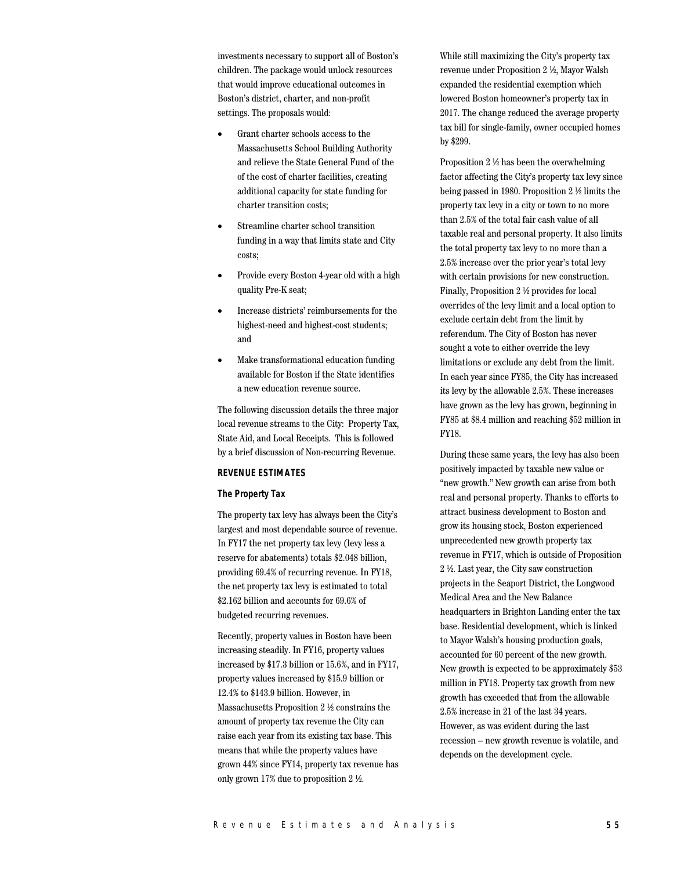investments necessary to support all of Boston's children. The package would unlock resources that would improve educational outcomes in Boston's district, charter, and non-profit settings. The proposals would:

- Grant charter schools access to the Massachusetts School Building Authority and relieve the State General Fund of the of the cost of charter facilities, creating additional capacity for state funding for charter transition costs;
- Streamline charter school transition funding in a way that limits state and City costs;
- Provide every Boston 4-year old with a high quality Pre-K seat;
- Increase districts' reimbursements for the highest-need and highest-cost students; and
- Make transformational education funding available for Boston if the State identifies a new education revenue source.

The following discussion details the three major local revenue streams to the City: Property Tax, State Aid, and Local Receipts. This is followed by a brief discussion of Non-recurring Revenue.

## **REVENUE ESTIMATES**

#### **The Property Tax**

The property tax levy has always been the City's largest and most dependable source of revenue. In FY17 the net property tax levy (levy less a reserve for abatements) totals \$2.048 billion, providing 69.4% of recurring revenue. In FY18, the net property tax levy is estimated to total \$2.162 billion and accounts for 69.6% of budgeted recurring revenues.

Recently, property values in Boston have been increasing steadily. In FY16, property values increased by \$17.3 billion or 15.6%, and in FY17, property values increased by \$15.9 billion or 12.4% to \$143.9 billion. However, in Massachusetts Proposition 2 ½ constrains the amount of property tax revenue the City can raise each year from its existing tax base. This means that while the property values have grown 44% since FY14, property tax revenue has only grown 17% due to proposition 2 ½.

While still maximizing the City's property tax revenue under Proposition 2 ½, Mayor Walsh expanded the residential exemption which lowered Boston homeowner's property tax in 2017. The change reduced the average property tax bill for single-family, owner occupied homes by \$299.

Proposition 2 ½ has been the overwhelming factor affecting the City's property tax levy since being passed in 1980. Proposition 2 ½ limits the property tax levy in a city or town to no more than 2.5% of the total fair cash value of all taxable real and personal property. It also limits the total property tax levy to no more than a 2.5% increase over the prior year's total levy with certain provisions for new construction. Finally, Proposition 2 ½ provides for local overrides of the levy limit and a local option to exclude certain debt from the limit by referendum. The City of Boston has never sought a vote to either override the levy limitations or exclude any debt from the limit. In each year since FY85, the City has increased its levy by the allowable 2.5%. These increases have grown as the levy has grown, beginning in FY85 at \$8.4 million and reaching \$52 million in FY18.

During these same years, the levy has also been positively impacted by taxable new value or "new growth." New growth can arise from both real and personal property. Thanks to efforts to attract business development to Boston and grow its housing stock, Boston experienced unprecedented new growth property tax revenue in FY17, which is outside of Proposition 2 ½. Last year, the City saw construction projects in the Seaport District, the Longwood Medical Area and the New Balance headquarters in Brighton Landing enter the tax base. Residential development, which is linked to Mayor Walsh's housing production goals, accounted for 60 percent of the new growth. New growth is expected to be approximately \$53 million in FY18. Property tax growth from new growth has exceeded that from the allowable 2.5% increase in 21 of the last 34 years. However, as was evident during the last recession – new growth revenue is volatile, and depends on the development cycle.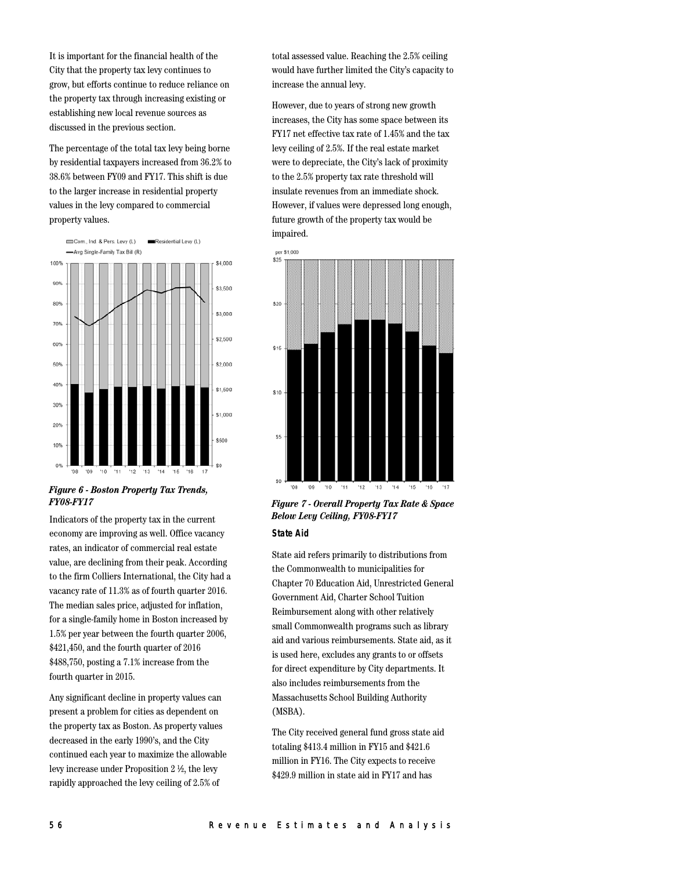It is important for the financial health of the City that the property tax levy continues to grow, but efforts continue to reduce reliance on the property tax through increasing existing or establishing new local revenue sources as discussed in the previous section.

The percentage of the total tax levy being borne by residential taxpayers increased from 36.2% to 38.6% between FY09 and FY17. This shift is due to the larger increase in residential property values in the levy compared to commercial property values.



*Figure 6 - Boston Property Tax Trends, FY08-FY17*

Indicators of the property tax in the current economy are improving as well. Office vacancy rates, an indicator of commercial real estate value, are declining from their peak. According to the firm Colliers International, the City had a vacancy rate of 11.3% as of fourth quarter 2016. The median sales price, adjusted for inflation, for a single-family home in Boston increased by 1.5% per year between the fourth quarter 2006, \$421,450, and the fourth quarter of 2016 \$488,750, posting a 7.1% increase from the fourth quarter in 2015.

Any significant decline in property values can present a problem for cities as dependent on the property tax as Boston. As property values decreased in the early 1990's, and the City continued each year to maximize the allowable levy increase under Proposition 2 ½, the levy rapidly approached the levy ceiling of 2.5% of

total assessed value. Reaching the 2.5% ceiling would have further limited the City's capacity to increase the annual levy.

However, due to years of strong new growth increases, the City has some space between its FY17 net effective tax rate of 1.45% and the tax levy ceiling of 2.5%. If the real estate market were to depreciate, the City's lack of proximity to the 2.5% property tax rate threshold will insulate revenues from an immediate shock. However, if values were depressed long enough, future growth of the property tax would be impaired.



## *Figure 7 - Overall Property Tax Rate & Space Below Levy Ceiling, FY08-FY17* **State Aid**

State aid refers primarily to distributions from the Commonwealth to municipalities for Chapter 70 Education Aid, Unrestricted General Government Aid, Charter School Tuition Reimbursement along with other relatively small Commonwealth programs such as library aid and various reimbursements. State aid, as it is used here, excludes any grants to or offsets for direct expenditure by City departments. It also includes reimbursements from the Massachusetts School Building Authority (MSBA).

The City received general fund gross state aid totaling \$413.4 million in FY15 and \$421.6 million in FY16. The City expects to receive \$429.9 million in state aid in FY17 and has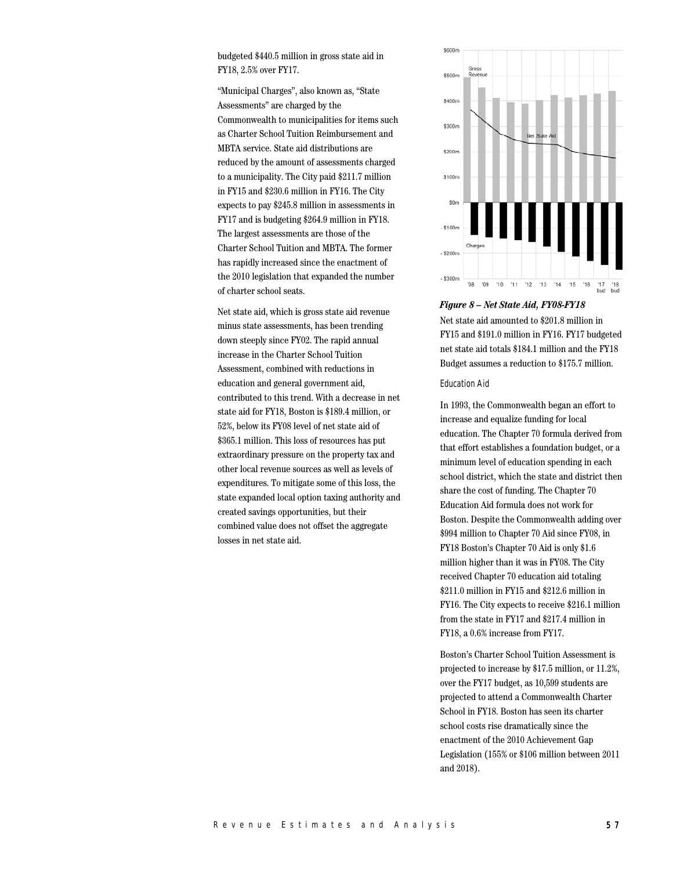budgeted \$440.5 million in gross state aid in FY18, 2.5% over FY17.

"Municipal Charges", also known as, "State Assessments" are charged by the Commonwealth to municipalities for items such as Charter School Tuition Reimbursement and MBTA service. State aid distributions are reduced by the amount of assessments charged to a municipality. The City paid \$211.7 million in FY15 and \$230.6 million in FY16. The City expects to pay \$245.8 million in assessments in FY17 and is budgeting \$264.9 million in FY18. The largest assessments are those of the Charter School Tuition and MBTA. The former has rapidly increased since the enactment of the 2010 legislation that expanded the number of charter school seats.

Net state aid, which is gross state aid revenue minus state assessments, has been trending down steeply since FY02. The rapid annual increase in the Charter School Tuition Assessment, combined with reductions in education and general government aid, contributed to this trend. With a decrease in net state aid for FY18, Boston is \$189.4 million, or 52%, below its FY08 level of net state aid of \$365.1 million. This loss of resources has put extraordinary pressure on the property tax and other local revenue sources as well as levels of expenditures. To mitigate some of this loss, the state expanded local option taxing authority and created savings opportunities, but their combined value does not offset the aggregate losses in net state aid.



#### *Figure 8 – Net State Aid, FY08-FY18*

Net state aid amounted to \$201.8 million in FY15 and \$191.0 million in FY16. FY17 budgeted net state aid totals \$184.1 million and the FY18 Budget assumes a reduction to \$175.7 million.

#### Education Aid

In 1993, the Commonwealth began an effort to increase and equalize funding for local education. The Chapter 70 formula derived from that effort establishes a foundation budget, or a minimum level of education spending in each school district, which the state and district then share the cost of funding. The Chapter 70 Education Aid formula does not work for Boston. Despite the Commonwealth adding over \$994 million to Chapter 70 Aid since FY08, in FY18 Boston's Chapter 70 Aid is only \$1.6 million higher than it was in FY08. The City received Chapter 70 education aid totaling \$211.0 million in FY15 and \$212.6 million in FY16. The City expects to receive \$216.1 million from the state in FY17 and \$217.4 million in FY18, a 0.6% increase from FY17.

Boston's Charter School Tuition Assessment is projected to increase by \$17.5 million, or 11.2%, over the FY17 budget, as 10,599 students are projected to attend a Commonwealth Charter School in FY18. Boston has seen its charter school costs rise dramatically since the enactment of the 2010 Achievement Gap Legislation (155% or \$106 million between 2011 and 2018).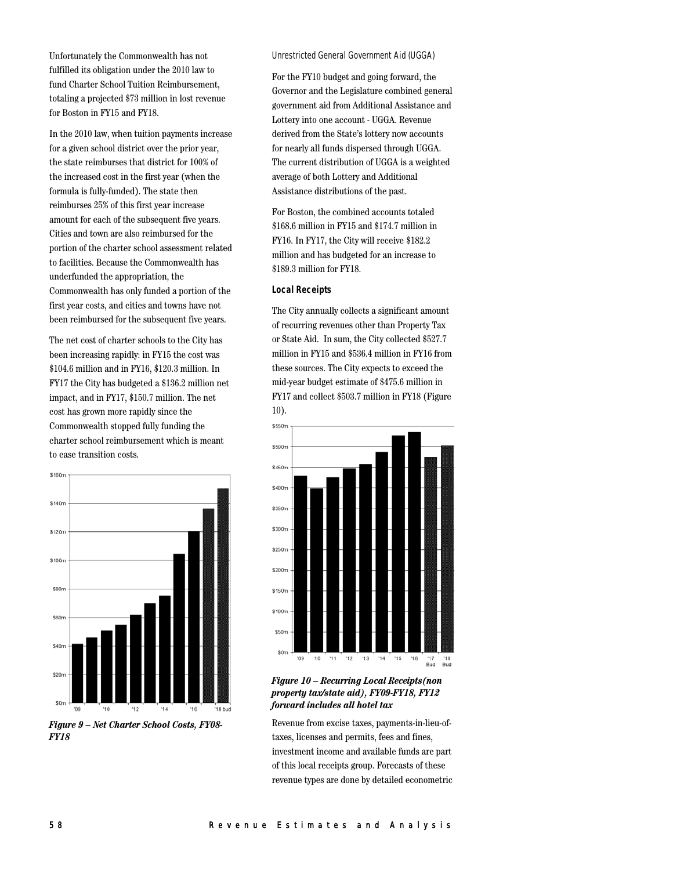Unfortunately the Commonwealth has not fulfilled its obligation under the 2010 law to fund Charter School Tuition Reimbursement, totaling a projected \$73 million in lost revenue for Boston in FY15 and FY18.

In the 2010 law, when tuition payments increase for a given school district over the prior year, the state reimburses that district for 100% of the increased cost in the first year (when the formula is fully-funded). The state then reimburses 25% of this first year increase amount for each of the subsequent five years. Cities and town are also reimbursed for the portion of the charter school assessment related to facilities. Because the Commonwealth has underfunded the appropriation, the Commonwealth has only funded a portion of the first year costs, and cities and towns have not been reimbursed for the subsequent five years.

The net cost of charter schools to the City has been increasing rapidly: in FY15 the cost was \$104.6 million and in FY16, \$120.3 million. In FY17 the City has budgeted a \$136.2 million net impact, and in FY17, \$150.7 million. The net cost has grown more rapidly since the Commonwealth stopped fully funding the charter school reimbursement which is meant to ease transition costs.



*Figure 9 – Net Charter School Costs, FY08- FY18*

#### Unrestricted General Government Aid (UGGA)

For the FY10 budget and going forward, the Governor and the Legislature combined general government aid from Additional Assistance and Lottery into one account - UGGA. Revenue derived from the State's lottery now accounts for nearly all funds dispersed through UGGA. The current distribution of UGGA is a weighted average of both Lottery and Additional Assistance distributions of the past.

For Boston, the combined accounts totaled \$168.6 million in FY15 and \$174.7 million in FY16. In FY17, the City will receive \$182.2 million and has budgeted for an increase to \$189.3 million for FY18.

#### **Local Receipts**

The City annually collects a significant amount of recurring revenues other than Property Tax or State Aid. In sum, the City collected \$527.7 million in FY15 and \$536.4 million in FY16 from these sources. The City expects to exceed the mid-year budget estimate of \$475.6 million in FY17 and collect \$503.7 million in FY18 (Figure 10).



## *Figure 10 – Recurring Local Receipts(non property tax/state aid), FY09-FY18, FY12 forward includes all hotel tax*

Revenue from excise taxes, payments-in-lieu-oftaxes, licenses and permits, fees and fines, investment income and available funds are part of this local receipts group. Forecasts of these revenue types are done by detailed econometric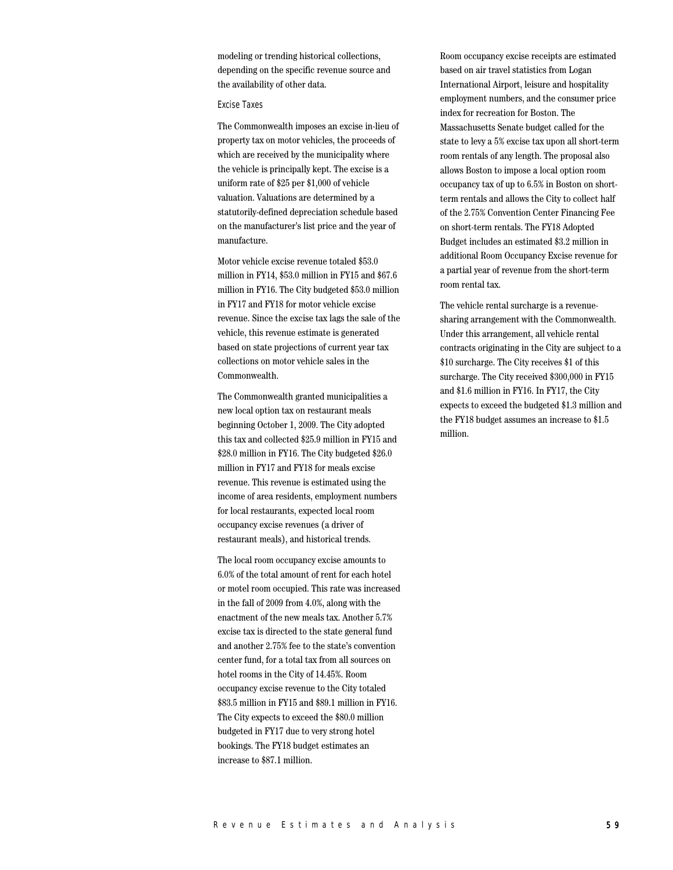modeling or trending historical collections, depending on the specific revenue source and the availability of other data.

#### Excise Taxes

The Commonwealth imposes an excise in-lieu of property tax on motor vehicles, the proceeds of which are received by the municipality where the vehicle is principally kept. The excise is a uniform rate of \$25 per \$1,000 of vehicle valuation. Valuations are determined by a statutorily-defined depreciation schedule based on the manufacturer's list price and the year of manufacture.

Motor vehicle excise revenue totaled \$53.0 million in FY14, \$53.0 million in FY15 and \$67.6 million in FY16. The City budgeted \$53.0 million in FY17 and FY18 for motor vehicle excise revenue. Since the excise tax lags the sale of the vehicle, this revenue estimate is generated based on state projections of current year tax collections on motor vehicle sales in the Commonwealth.

The Commonwealth granted municipalities a new local option tax on restaurant meals beginning October 1, 2009. The City adopted this tax and collected \$25.9 million in FY15 and \$28.0 million in FY16. The City budgeted \$26.0 million in FY17 and FY18 for meals excise revenue. This revenue is estimated using the income of area residents, employment numbers for local restaurants, expected local room occupancy excise revenues (a driver of restaurant meals), and historical trends.

The local room occupancy excise amounts to 6.0% of the total amount of rent for each hotel or motel room occupied. This rate was increased in the fall of 2009 from 4.0%, along with the enactment of the new meals tax. Another 5.7% excise tax is directed to the state general fund and another 2.75% fee to the state's convention center fund, for a total tax from all sources on hotel rooms in the City of 14.45%. Room occupancy excise revenue to the City totaled \$83.5 million in FY15 and \$89.1 million in FY16. The City expects to exceed the \$80.0 million budgeted in FY17 due to very strong hotel bookings. The FY18 budget estimates an increase to \$87.1 million.

Room occupancy excise receipts are estimated based on air travel statistics from Logan International Airport, leisure and hospitality employment numbers, and the consumer price index for recreation for Boston. The Massachusetts Senate budget called for the state to levy a 5% excise tax upon all short-term room rentals of any length. The proposal also allows Boston to impose a local option room occupancy tax of up to 6.5% in Boston on shortterm rentals and allows the City to collect half of the 2.75% Convention Center Financing Fee on short-term rentals. The FY18 Adopted Budget includes an estimated \$3.2 million in additional Room Occupancy Excise revenue for a partial year of revenue from the short-term room rental tax.

The vehicle rental surcharge is a revenuesharing arrangement with the Commonwealth. Under this arrangement, all vehicle rental contracts originating in the City are subject to a \$10 surcharge. The City receives \$1 of this surcharge. The City received \$300,000 in FY15 and \$1.6 million in FY16. In FY17, the City expects to exceed the budgeted \$1.3 million and the FY18 budget assumes an increase to \$1.5 million.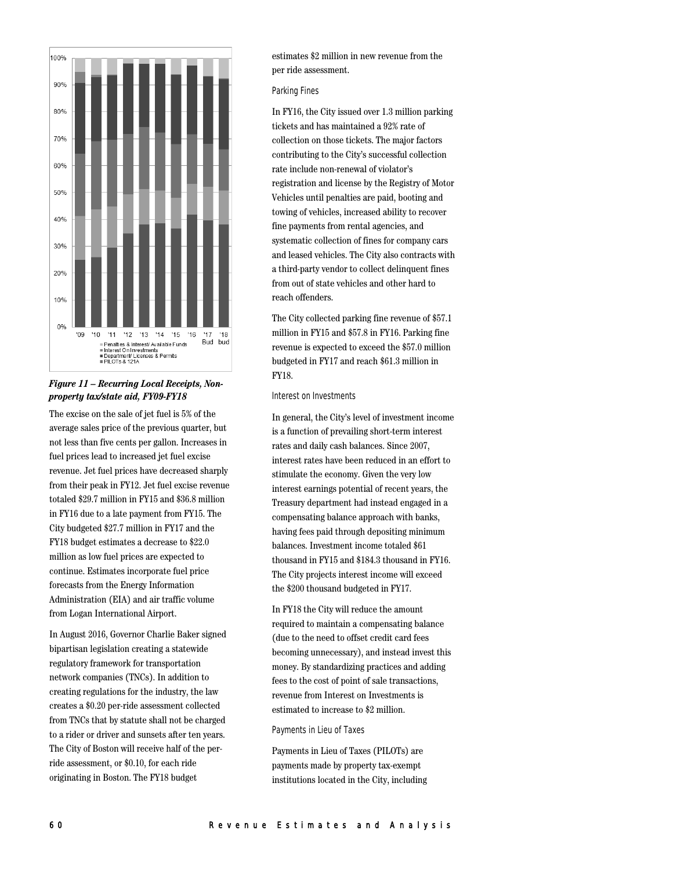

## *Figure 11 – Recurring Local Receipts, Nonproperty tax/state aid, FY09-FY18*

The excise on the sale of jet fuel is 5% of the average sales price of the previous quarter, but not less than five cents per gallon. Increases in fuel prices lead to increased jet fuel excise revenue. Jet fuel prices have decreased sharply from their peak in FY12. Jet fuel excise revenue totaled \$29.7 million in FY15 and \$36.8 million in FY16 due to a late payment from FY15. The City budgeted \$27.7 million in FY17 and the FY18 budget estimates a decrease to \$22.0 million as low fuel prices are expected to continue. Estimates incorporate fuel price forecasts from the Energy Information Administration (EIA) and air traffic volume from Logan International Airport.

In August 2016, Governor Charlie Baker signed bipartisan legislation creating a statewide regulatory framework for transportation network companies (TNCs). In addition to creating regulations for the industry, the law creates a \$0.20 per-ride assessment collected from TNCs that by statute shall not be charged to a rider or driver and sunsets after ten years. The City of Boston will receive half of the perride assessment, or \$0.10, for each ride originating in Boston. The FY18 budget

estimates \$2 million in new revenue from the per ride assessment.

## Parking Fines

In FY16, the City issued over 1.3 million parking tickets and has maintained a 92% rate of collection on those tickets. The major factors contributing to the City's successful collection rate include non-renewal of violator's registration and license by the Registry of Motor Vehicles until penalties are paid, booting and towing of vehicles, increased ability to recover fine payments from rental agencies, and systematic collection of fines for company cars and leased vehicles. The City also contracts with a third-party vendor to collect delinquent fines from out of state vehicles and other hard to reach offenders.

The City collected parking fine revenue of \$57.1 million in FY15 and \$57.8 in FY16. Parking fine revenue is expected to exceed the \$57.0 million budgeted in FY17 and reach \$61.3 million in FY18.

#### Interest on Investments

In general, the City's level of investment income is a function of prevailing short-term interest rates and daily cash balances. Since 2007, interest rates have been reduced in an effort to stimulate the economy. Given the very low interest earnings potential of recent years, the Treasury department had instead engaged in a compensating balance approach with banks, having fees paid through depositing minimum balances. Investment income totaled \$61 thousand in FY15 and \$184.3 thousand in FY16. The City projects interest income will exceed the \$200 thousand budgeted in FY17.

In FY18 the City will reduce the amount required to maintain a compensating balance (due to the need to offset credit card fees becoming unnecessary), and instead invest this money. By standardizing practices and adding fees to the cost of point of sale transactions, revenue from Interest on Investments is estimated to increase to \$2 million.

## Payments in Lieu of Taxes

Payments in Lieu of Taxes (PILOTs) are payments made by property tax-exempt institutions located in the City, including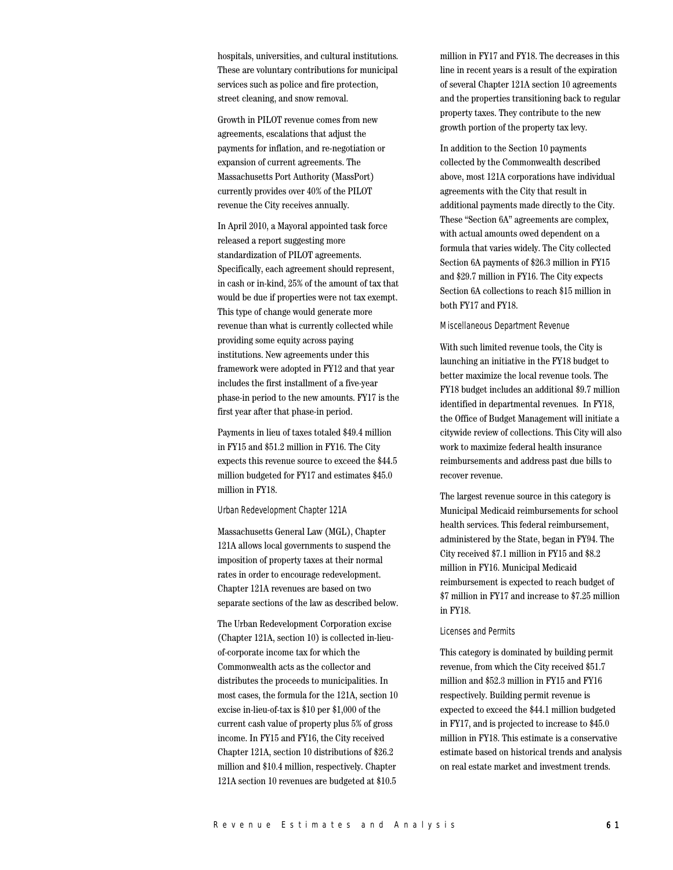hospitals, universities, and cultural institutions. These are voluntary contributions for municipal services such as police and fire protection, street cleaning, and snow removal.

Growth in PILOT revenue comes from new agreements, escalations that adjust the payments for inflation, and re-negotiation or expansion of current agreements. The Massachusetts Port Authority (MassPort) currently provides over 40% of the PILOT revenue the City receives annually.

In April 2010, a Mayoral appointed task force released a report suggesting more standardization of PILOT agreements. Specifically, each agreement should represent, in cash or in-kind, 25% of the amount of tax that would be due if properties were not tax exempt. This type of change would generate more revenue than what is currently collected while providing some equity across paying institutions. New agreements under this framework were adopted in FY12 and that year includes the first installment of a five-year phase-in period to the new amounts. FY17 is the first year after that phase-in period.

Payments in lieu of taxes totaled \$49.4 million in FY15 and \$51.2 million in FY16. The City expects this revenue source to exceed the \$44.5 million budgeted for FY17 and estimates \$45.0 million in FY18.

## Urban Redevelopment Chapter 121A

Massachusetts General Law (MGL), Chapter 121A allows local governments to suspend the imposition of property taxes at their normal rates in order to encourage redevelopment. Chapter 121A revenues are based on two separate sections of the law as described below.

The Urban Redevelopment Corporation excise (Chapter 121A, section 10) is collected in-lieuof-corporate income tax for which the Commonwealth acts as the collector and distributes the proceeds to municipalities. In most cases, the formula for the 121A, section 10 excise in-lieu-of-tax is \$10 per \$1,000 of the current cash value of property plus 5% of gross income. In FY15 and FY16, the City received Chapter 121A, section 10 distributions of \$26.2 million and \$10.4 million, respectively. Chapter 121A section 10 revenues are budgeted at \$10.5

million in FY17 and FY18. The decreases in this line in recent years is a result of the expiration of several Chapter 121A section 10 agreements and the properties transitioning back to regular property taxes. They contribute to the new growth portion of the property tax levy.

In addition to the Section 10 payments collected by the Commonwealth described above, most 121A corporations have individual agreements with the City that result in additional payments made directly to the City. These "Section 6A" agreements are complex, with actual amounts owed dependent on a formula that varies widely. The City collected Section 6A payments of \$26.3 million in FY15 and \$29.7 million in FY16. The City expects Section 6A collections to reach \$15 million in both FY17 and FY18.

#### Miscellaneous Department Revenue

With such limited revenue tools, the City is launching an initiative in the FY18 budget to better maximize the local revenue tools. The FY18 budget includes an additional \$9.7 million identified in departmental revenues. In FY18, the Office of Budget Management will initiate a citywide review of collections. This City will also work to maximize federal health insurance reimbursements and address past due bills to recover revenue.

The largest revenue source in this category is Municipal Medicaid reimbursements for school health services. This federal reimbursement, administered by the State, began in FY94. The City received \$7.1 million in FY15 and \$8.2 million in FY16. Municipal Medicaid reimbursement is expected to reach budget of \$7 million in FY17 and increase to \$7.25 million in FY18.

#### Licenses and Permits

This category is dominated by building permit revenue, from which the City received \$51.7 million and \$52.3 million in FY15 and FY16 respectively. Building permit revenue is expected to exceed the \$44.1 million budgeted in FY17, and is projected to increase to \$45.0 million in FY18. This estimate is a conservative estimate based on historical trends and analysis on real estate market and investment trends.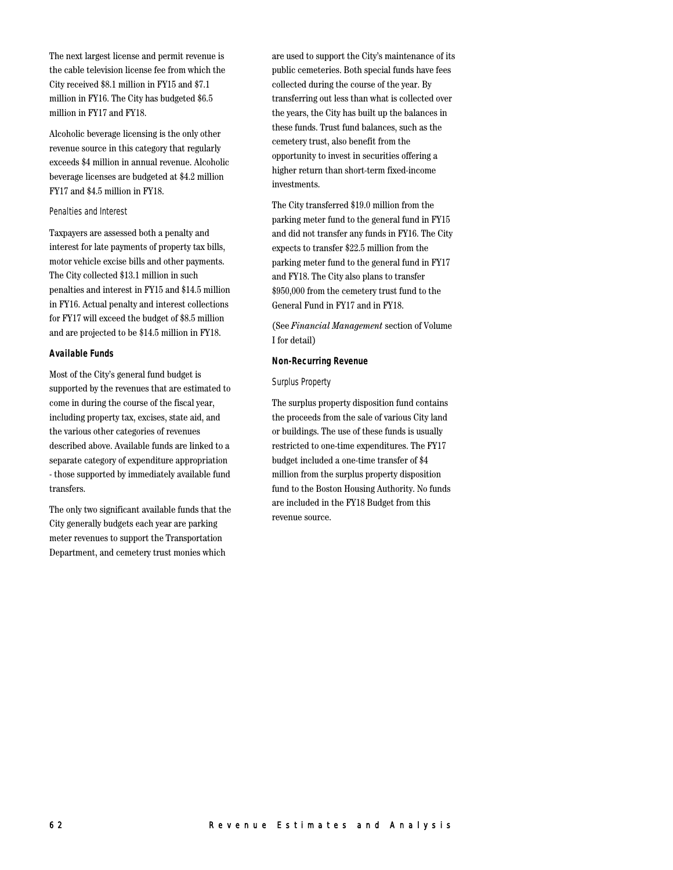The next largest license and permit revenue is the cable television license fee from which the City received \$8.1 million in FY15 and \$7.1 million in FY16. The City has budgeted \$6.5 million in FY17 and FY18.

Alcoholic beverage licensing is the only other revenue source in this category that regularly exceeds \$4 million in annual revenue. Alcoholic beverage licenses are budgeted at \$4.2 million FY17 and \$4.5 million in FY18.

#### Penalties and Interest

Taxpayers are assessed both a penalty and interest for late payments of property tax bills, motor vehicle excise bills and other payments. The City collected \$13.1 million in such penalties and interest in FY15 and \$14.5 million in FY16. Actual penalty and interest collections for FY17 will exceed the budget of \$8.5 million and are projected to be \$14.5 million in FY18.

#### **Available Funds**

Most of the City's general fund budget is supported by the revenues that are estimated to come in during the course of the fiscal year, including property tax, excises, state aid, and the various other categories of revenues described above. Available funds are linked to a separate category of expenditure appropriation - those supported by immediately available fund transfers.

The only two significant available funds that the City generally budgets each year are parking meter revenues to support the Transportation Department, and cemetery trust monies which

are used to support the City's maintenance of its public cemeteries. Both special funds have fees collected during the course of the year. By transferring out less than what is collected over the years, the City has built up the balances in these funds. Trust fund balances, such as the cemetery trust, also benefit from the opportunity to invest in securities offering a higher return than short-term fixed-income investments.

The City transferred \$19.0 million from the parking meter fund to the general fund in FY15 and did not transfer any funds in FY16. The City expects to transfer \$22.5 million from the parking meter fund to the general fund in FY17 and FY18. The City also plans to transfer \$950,000 from the cemetery trust fund to the General Fund in FY17 and in FY18.

(See *Financial Management* section of Volume I for detail)

#### **Non-Recurring Revenue**

#### Surplus Property

The surplus property disposition fund contains the proceeds from the sale of various City land or buildings. The use of these funds is usually restricted to one-time expenditures. The FY17 budget included a one-time transfer of \$4 million from the surplus property disposition fund to the Boston Housing Authority. No funds are included in the FY18 Budget from this revenue source.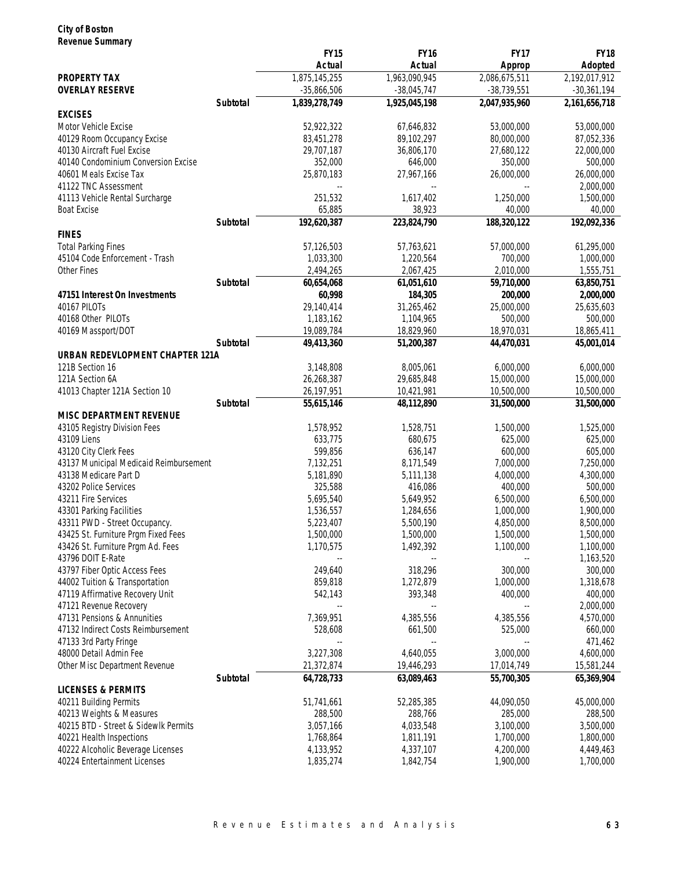## **City of Boston Revenue Summary**

|                                                           |          | <b>FY15</b>              | <b>FY16</b>              | <b>FY17</b>                           | <b>FY18</b>              |
|-----------------------------------------------------------|----------|--------------------------|--------------------------|---------------------------------------|--------------------------|
|                                                           |          | Actual                   | Actual                   | <b>Approp</b>                         | Adopted                  |
| <b>PROPERTY TAX</b>                                       |          | 1,875,145,255            | 1,963,090,945            | 2,086,675,511                         | 2,192,017,912            |
| <b>OVERLAY RESERVE</b>                                    |          | $-35,866,506$            | $-38,045,747$            | $-38,739,551$                         | $-30,361,194$            |
|                                                           | Subtotal | 1,839,278,749            | 1,925,045,198            | 2,047,935,960                         | 2,161,656,718            |
| <b>EXCISES</b>                                            |          |                          |                          |                                       |                          |
| Motor Vehicle Excise                                      |          | 52,922,322               | 67,646,832               | 53,000,000                            | 53,000,000               |
| 40129 Room Occupancy Excise<br>40130 Aircraft Fuel Excise |          | 83,451,278<br>29,707,187 | 89,102,297<br>36,806,170 | 80,000,000<br>27,680,122              | 87,052,336<br>22,000,000 |
| 40140 Condominium Conversion Excise                       |          | 352,000                  | 646,000                  | 350,000                               | 500,000                  |
| 40601 Meals Excise Tax                                    |          | 25,870,183               | 27,967,166               | 26,000,000                            | 26,000,000               |
| 41122 TNC Assessment                                      |          |                          |                          |                                       | 2,000,000                |
| 41113 Vehicle Rental Surcharge                            |          | 251,532                  | 1,617,402                | 1,250,000                             | 1,500,000                |
| <b>Boat Excise</b>                                        |          | 65,885                   | 38,923                   | 40,000                                | 40,000                   |
|                                                           | Subtotal | 192,620,387              | 223,824,790              | 188,320,122                           | 192,092,336              |
| <b>FINES</b>                                              |          |                          |                          |                                       |                          |
| <b>Total Parking Fines</b>                                |          | 57,126,503               | 57,763,621               | 57,000,000                            | 61,295,000               |
| 45104 Code Enforcement - Trash                            |          | 1,033,300                | 1,220,564                | 700,000                               | 1,000,000                |
| Other Fines                                               |          | 2,494,265                | 2,067,425                | 2,010,000                             | 1,555,751                |
|                                                           | Subtotal | 60,654,068               | 61,051,610               | 59,710,000                            | 63,850,751               |
| 47151 Interest On Investments                             |          | 60,998                   | 184,305                  | 200,000                               | 2,000,000                |
| 40167 PILOTS                                              |          | 29,140,414               | 31,265,462               | 25,000,000                            | 25,635,603               |
| 40168 Other PILOTs                                        |          | 1,183,162                | 1,104,965                | 500,000                               | 500,000                  |
| 40169 Massport/DOT                                        |          | 19,089,784               | 18,829,960               | 18,970,031                            | 18,865,411               |
| URBAN REDEVLOPMENT CHAPTER 121A                           | Subtotal | 49,413,360               | 51,200,387               | 44,470,031                            | 45,001,014               |
| 121B Section 16                                           |          | 3,148,808                | 8,005,061                | 6,000,000                             | 6,000,000                |
| 121A Section 6A                                           |          | 26,268,387               | 29,685,848               | 15,000,000                            | 15,000,000               |
| 41013 Chapter 121A Section 10                             |          | 26,197,951               | 10,421,981               | 10,500,000                            | 10,500,000               |
|                                                           | Subtotal | 55,615,146               | 48,112,890               | 31,500,000                            | 31,500,000               |
| MISC DEPARTMENT REVENUE                                   |          |                          |                          |                                       |                          |
| 43105 Registry Division Fees                              |          | 1,578,952                | 1,528,751                | 1,500,000                             | 1,525,000                |
| 43109 Liens                                               |          | 633,775                  | 680,675                  | 625,000                               | 625,000                  |
| 43120 City Clerk Fees                                     |          | 599,856                  | 636,147                  | 600,000                               | 605,000                  |
| 43137 Municipal Medicaid Reimbursement                    |          | 7,132,251                | 8,171,549                | 7,000,000                             | 7,250,000                |
| 43138 Medicare Part D                                     |          | 5,181,890                | 5,111,138                | 4,000,000                             | 4,300,000                |
| 43202 Police Services                                     |          | 325,588                  | 416,086                  | 400,000                               | 500,000                  |
| 43211 Fire Services                                       |          | 5,695,540                | 5,649,952                | 6,500,000                             | 6,500,000                |
| 43301 Parking Facilities                                  |          | 1,536,557                | 1,284,656                | 1,000,000                             | 1,900,000                |
| 43311 PWD - Street Occupancy.                             |          | 5,223,407                | 5,500,190                | 4,850,000                             | 8,500,000                |
| 43425 St. Furniture Prgm Fixed Fees                       |          | 1,500,000                | 1,500,000                | 1,500,000                             | 1,500,000                |
| 43426 St. Furniture Prgm Ad. Fees                         |          | 1,170,575                | 1,492,392                | 1,100,000                             | 1,100,000                |
| 43796 DOIT E-Rate                                         |          |                          |                          |                                       | 1,163,520                |
| 43797 Fiber Optic Access Fees                             |          | 249,640                  | 318,296                  | 300,000                               | 300,000                  |
| 44002 Tuition & Transportation                            |          | 859,818                  | 1,272,879                | 1,000,000                             | 1,318,678                |
| 47119 Affirmative Recovery Unit<br>47121 Revenue Recovery |          | 542,143                  | 393,348                  | 400,000<br>$\overline{\phantom{a}}$ . | 400,000<br>2,000,000     |
| 47131 Pensions & Annunities                               |          | 7,369,951                | 4,385,556                | 4,385,556                             | 4,570,000                |
| 47132 Indirect Costs Reimbursement                        |          | 528,608                  | 661,500                  | 525,000                               | 660,000                  |
| 47133 3rd Party Fringe                                    |          |                          |                          | $\overline{\phantom{a}}$ .            | 471,462                  |
| 48000 Detail Admin Fee                                    |          | 3,227,308                | 4,640,055                | 3,000,000                             | 4,600,000                |
| Other Misc Department Revenue                             |          | 21,372,874               | 19,446,293               | 17,014,749                            | 15,581,244               |
|                                                           | Subtotal | 64,728,733               | 63,089,463               | 55,700,305                            | 65,369,904               |
| <b>LICENSES &amp; PERMITS</b>                             |          |                          |                          |                                       |                          |
| 40211 Building Permits                                    |          | 51,741,661               | 52,285,385               | 44,090,050                            | 45,000,000               |
| 40213 Weights & Measures                                  |          | 288,500                  | 288,766                  | 285,000                               | 288,500                  |
| 40215 BTD - Street & Sidewlk Permits                      |          | 3,057,166                | 4,033,548                | 3,100,000                             | 3,500,000                |
| 40221 Health Inspections                                  |          | 1,768,864                | 1,811,191                | 1,700,000                             | 1,800,000                |
| 40222 Alcoholic Beverage Licenses                         |          | 4,133,952                | 4,337,107                | 4,200,000                             | 4,449,463                |
| 40224 Entertainment Licenses                              |          | 1,835,274                | 1,842,754                | 1,900,000                             | 1,700,000                |